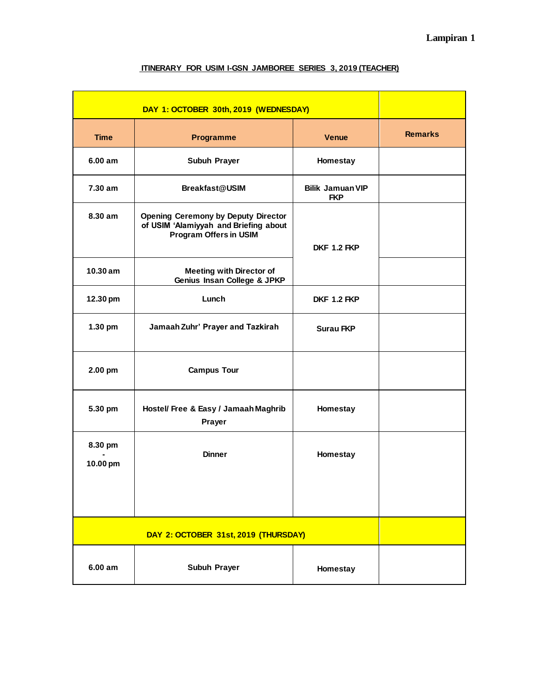| DAY 1: OCTOBER 30th, 2019 (WEDNESDAY) |                                                                                                                      |                                       |                |
|---------------------------------------|----------------------------------------------------------------------------------------------------------------------|---------------------------------------|----------------|
| <b>Time</b>                           | Programme                                                                                                            | <b>Venue</b>                          | <b>Remarks</b> |
| 6.00 am                               | Subuh Prayer                                                                                                         | Homestay                              |                |
| 7.30 am                               | <b>Breakfast@USIM</b>                                                                                                | <b>Bilik Jamuan VIP</b><br><b>FKP</b> |                |
| 8.30 am                               | <b>Opening Ceremony by Deputy Director</b><br>of USIM 'Alamiyyah and Briefing about<br><b>Program Offers in USIM</b> | <b>DKF 1.2 FKP</b>                    |                |
| 10.30 am                              | <b>Meeting with Director of</b><br>Genius Insan College & JPKP                                                       |                                       |                |
| 12.30 pm                              | Lunch                                                                                                                | <b>DKF 1.2 FKP</b>                    |                |
| 1.30 pm                               | Jamaah Zuhr' Prayer and Tazkirah                                                                                     | <b>Surau FKP</b>                      |                |
| 2.00 pm                               | <b>Campus Tour</b>                                                                                                   |                                       |                |
| 5.30 pm                               | Hostel/ Free & Easy / Jamaah Maghrib<br>Prayer                                                                       | Homestay                              |                |
| 8.30 pm<br>10.00 pm                   | <b>Dinner</b>                                                                                                        | Homestay                              |                |
|                                       |                                                                                                                      |                                       |                |
| DAY 2: OCTOBER 31st, 2019 (THURSDAY)  |                                                                                                                      |                                       |                |
| 6.00 am                               | Subuh Prayer                                                                                                         | Homestay                              |                |

## **ITINERARY FOR USIM I-GSN JAMBOREE SERIES 3, 2019 (TEACHER)**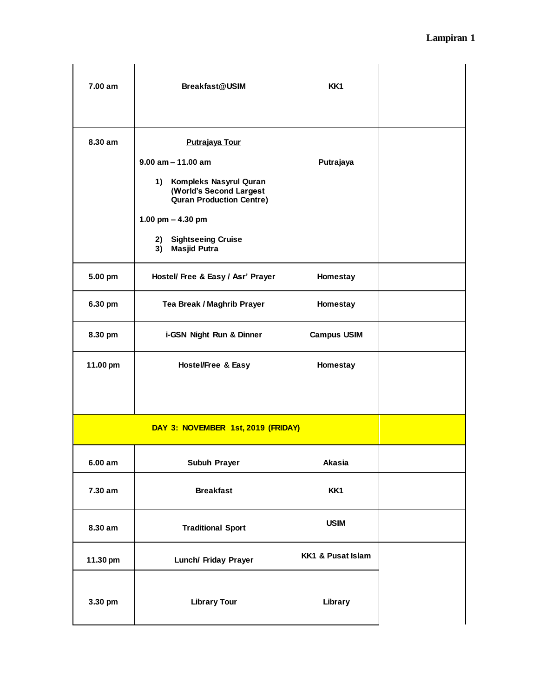| 7.00 am  | <b>Breakfast@USIM</b>                                                               | KK1                |  |
|----------|-------------------------------------------------------------------------------------|--------------------|--|
| 8.30 am  | Putrajaya Tour<br>$9.00$ am $- 11.00$ am                                            | Putrajaya          |  |
|          | 1)<br>Kompleks Nasyrul Quran<br>(World's Second Largest<br>Quran Production Centre) |                    |  |
|          | 1.00 pm $-$ 4.30 pm                                                                 |                    |  |
|          | <b>Sightseeing Cruise</b><br>2)<br><b>Masjid Putra</b><br>3)                        |                    |  |
| 5.00 pm  | Hostel/ Free & Easy / Asr' Prayer                                                   | Homestay           |  |
| 6.30 pm  | Tea Break / Maghrib Prayer                                                          | Homestay           |  |
| 8.30 pm  | i-GSN Night Run & Dinner                                                            | <b>Campus USIM</b> |  |
| 11.00 pm | <b>Hostel/Free &amp; Easy</b>                                                       | Homestay           |  |
|          |                                                                                     |                    |  |
| 6.00 am  | Subuh Prayer                                                                        | Akasia             |  |
| 7.30 am  | <b>Breakfast</b>                                                                    | KK1                |  |
| 8.30 am  | <b>Traditional Sport</b>                                                            | <b>USIM</b>        |  |
| 11.30 pm | Lunch/ Friday Prayer                                                                | KK1 & Pusat Islam  |  |
| 3.30 pm  | <b>Library Tour</b>                                                                 | Library            |  |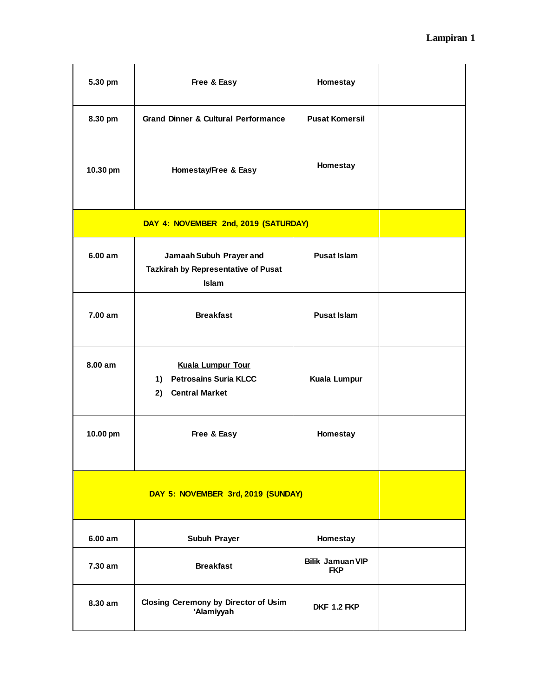| 5.30 pm   | Free & Easy                                                                           | Homestay                              |  |
|-----------|---------------------------------------------------------------------------------------|---------------------------------------|--|
| 8.30 pm   | <b>Grand Dinner &amp; Cultural Performance</b>                                        | <b>Pusat Komersil</b>                 |  |
| 10.30 pm  | Homestay/Free & Easy                                                                  | Homestay                              |  |
|           |                                                                                       |                                       |  |
| 6.00 am   | Jamaah Subuh Prayer and<br><b>Tazkirah by Representative of Pusat</b><br><b>Islam</b> | <b>Pusat Islam</b>                    |  |
| 7.00 am   | <b>Breakfast</b>                                                                      | <b>Pusat Islam</b>                    |  |
| 8.00 am   | <b>Kuala Lumpur Tour</b><br>1) Petrosains Suria KLCC<br>2) Central Market             | Kuala Lumpur                          |  |
| 10.00 pm  | Free & Easy                                                                           | Homestay                              |  |
|           |                                                                                       |                                       |  |
| 6.00 am   | Subuh Prayer                                                                          | Homestay                              |  |
| $7.30$ am | <b>Breakfast</b>                                                                      | <b>Bilik Jamuan VIP</b><br><b>FKP</b> |  |
| 8.30 am   | <b>Closing Ceremony by Director of Usim</b><br>'Alamiyyah                             | <b>DKF 1.2 FKP</b>                    |  |